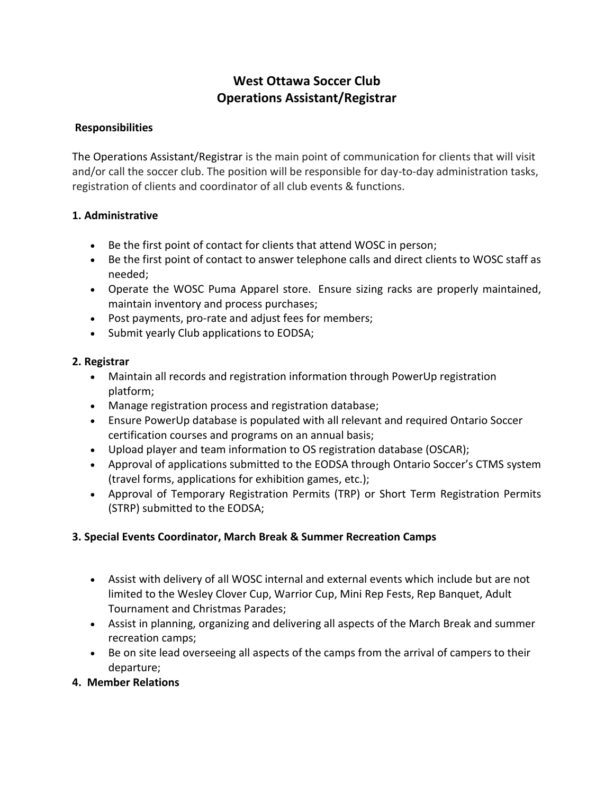# **West Ottawa Soccer Club Operations Assistant/Registrar**

#### **Responsibilities**

The Operations Assistant/Registrar is the main point of communication for clients that will visit and/or call the soccer club. The position will be responsible for day-to-day administration tasks, registration of clients and coordinator of all club events & functions.

#### **1. Administrative**

- Be the first point of contact for clients that attend WOSC in person;
- Be the first point of contact to answer telephone calls and direct clients to WOSC staff as needed;
- Operate the WOSC Puma Apparel store. Ensure sizing racks are properly maintained, maintain inventory and process purchases;
- Post payments, pro-rate and adjust fees for members;
- Submit yearly Club applications to EODSA;

#### **2. Registrar**

- Maintain all records and registration information through PowerUp registration platform;
- Manage registration process and registration database;
- Ensure PowerUp database is populated with all relevant and required Ontario Soccer certification courses and programs on an annual basis;
- Upload player and team information to OS registration database (OSCAR);
- Approval of applications submitted to the EODSA through Ontario Soccer's CTMS system (travel forms, applications for exhibition games, etc.);
- Approval of Temporary Registration Permits (TRP) or Short Term Registration Permits (STRP) submitted to the EODSA;

### **3. Special Events Coordinator, March Break & Summer Recreation Camps**

- Assist with delivery of all WOSC internal and external events which include but are not limited to the Wesley Clover Cup, Warrior Cup, Mini Rep Fests, Rep Banquet, Adult Tournament and Christmas Parades;
- Assist in planning, organizing and delivering all aspects of the March Break and summer recreation camps;
- Be on site lead overseeing all aspects of the camps from the arrival of campers to their departure;
- **4. Member Relations**